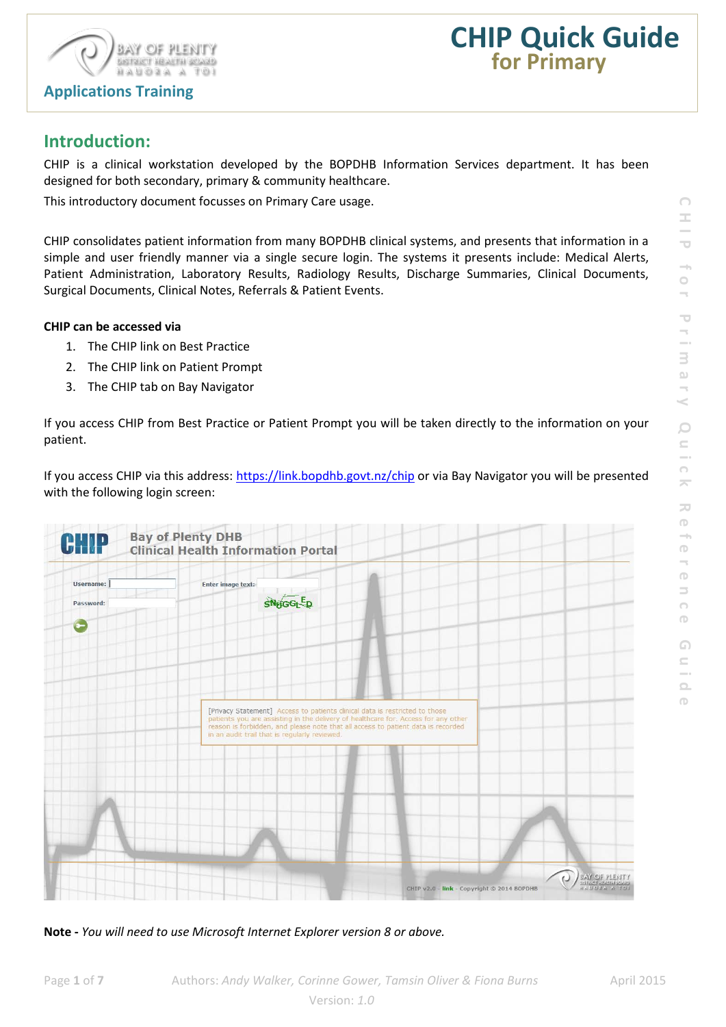



# **Introduction:**

CHIP is a clinical workstation developed by the BOPDHB Information Services department. It has been designed for both secondary, primary & community healthcare.

This introductory document focusses on Primary Care usage.

CHIP consolidates patient information from many BOPDHB clinical systems, and presents that information in a simple and user friendly manner via a single secure login. The systems it presents include: Medical Alerts, Patient Administration, Laboratory Results, Radiology Results, Discharge Summaries, Clinical Documents, Surgical Documents, Clinical Notes, Referrals & Patient Events.

#### **CHIP can be accessed via**

- 1. The CHIP link on Best Practice
- 2. The CHIP link on Patient Prompt
- 3. The CHIP tab on Bay Navigator

If you access CHIP from Best Practice or Patient Prompt you will be taken directly to the information on your patient.

If you access CHIP via this address[: https://link.bopdhb.govt.nz/chip](https://link.bopdhb.govt.nz/chip) or via Bay Navigator you will be presented with the following login screen:



**Note -** *You will need to use Microsoft Internet Explorer version 8 or above.*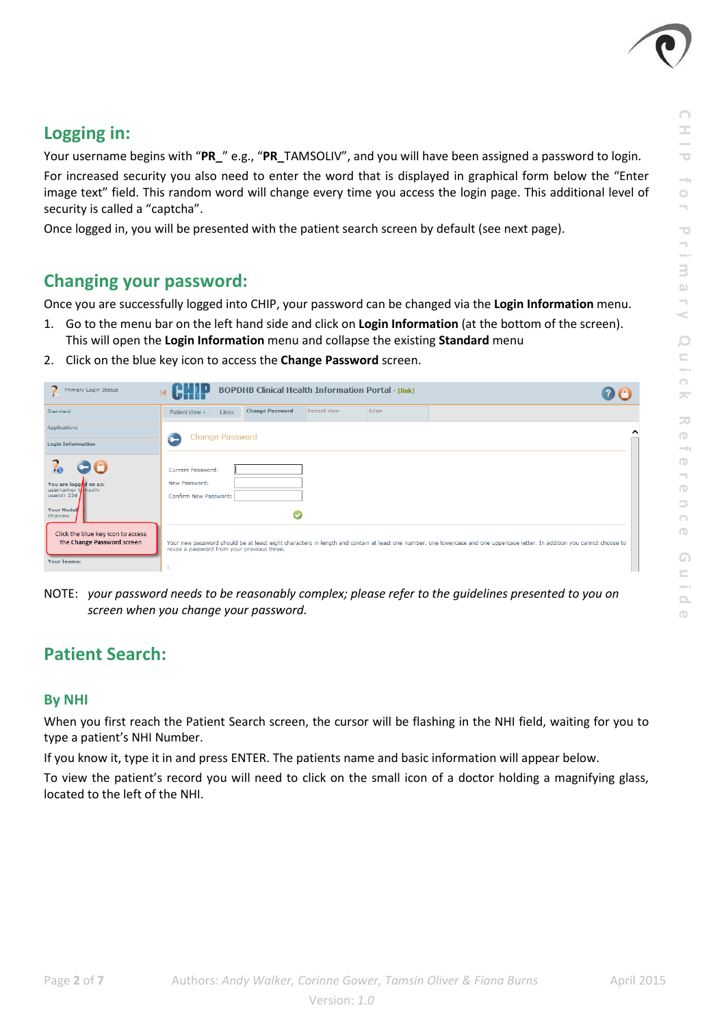

## **Logging in:**

Your username begins with "**PR\_**" e.g., "**PR\_**TAMSOLIV", and you will have been assigned a password to login. For increased security you also need to enter the word that is displayed in graphical form below the "Enter image text" field. This random word will change every time you access the login page. This additional level of security is called a "captcha".

Once logged in, you will be presented with the patient search screen by default (see next page).

## **Changing your password:**

Once you are successfully logged into CHIP, your password can be changed via the **Login Information** menu.

- 1. Go to the menu bar on the left hand side and click on **Login Information** (at the bottom of the screen). This will open the **Login Information** menu and collapse the existing **Standard** menu
- 2. Click on the blue key icon to access the **Change Password** screen.

| Primary Login Status                                                                                 | <b>BOPDHB Clinical Health Information Portal - [link]</b>   |                        |              |        |                                                                                                                                                                           |  |  |  |
|------------------------------------------------------------------------------------------------------|-------------------------------------------------------------|------------------------|--------------|--------|---------------------------------------------------------------------------------------------------------------------------------------------------------------------------|--|--|--|
| Standard                                                                                             | Links<br>Patient View +                                     | <b>Change Password</b> | Patient View | Eclair |                                                                                                                                                                           |  |  |  |
| Applications                                                                                         |                                                             |                        |              |        | ⌒                                                                                                                                                                         |  |  |  |
| <b>Login Information</b>                                                                             | <b>Change Password</b>                                      |                        |              |        |                                                                                                                                                                           |  |  |  |
| $\bullet$ 0<br>You are logg d on as:<br>username: thinsoliv<br>userid: 224<br>Your Modul<br>chipview | Current Password:<br>New Password:<br>Confirm New Password: |                        |              |        |                                                                                                                                                                           |  |  |  |
| Click the blue key icon to access<br>the Change Password screen<br><b>Your Teams:</b>                | reuse a password from your previous three.                  |                        |              |        | Your new password should be at least eight characters in length and contain at least one number, one lowercase and one uppercase letter. In addition you cannot choose to |  |  |  |

NOTE: *your password needs to be reasonably complex; please refer to the guidelines presented to you on screen when you change your password.*

## **Patient Search:**

### **By NHI**

When you first reach the Patient Search screen, the cursor will be flashing in the NHI field, waiting for you to type a patient's NHI Number.

If you know it, type it in and press ENTER. The patients name and basic information will appear below.

To view the patient's record you will need to click on the small icon of a doctor holding a magnifying glass, located to the left of the NHI.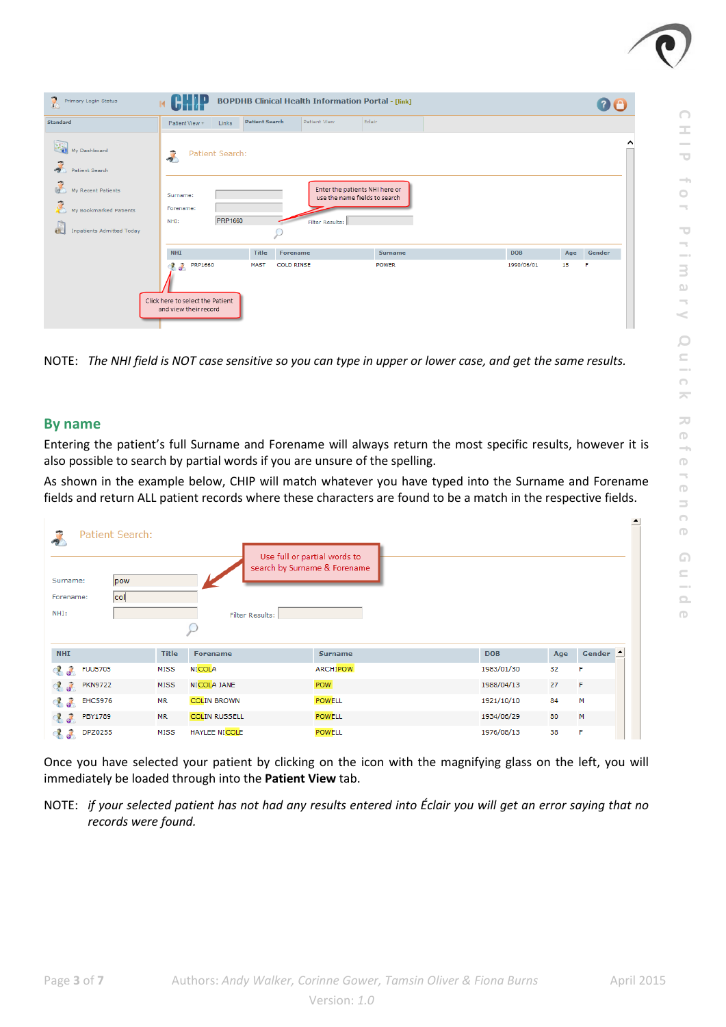

| P,<br>Primary Login Status                        | м                                                                                        |                       | <b>BOPDHB Clinical Health Information Portal - [link]</b> |                 |                |  |            |     |        |
|---------------------------------------------------|------------------------------------------------------------------------------------------|-----------------------|-----------------------------------------------------------|-----------------|----------------|--|------------|-----|--------|
| Standard                                          | Patient View +<br>Links                                                                  | <b>Patient Search</b> | <b>Patient View</b>                                       | Eclair          |                |  |            |     |        |
| My Dashboard<br>$\rightarrow$<br>Patient Search   | Patient Search:                                                                          |                       |                                                           |                 |                |  |            |     | ⌒      |
| My Recent Patients<br>ý<br>My Bookmarked Patients | Enter the patients NHI here or<br>Surname:<br>use the name fields to search<br>Forename: |                       |                                                           |                 |                |  |            |     |        |
| <b>Inpatients Admitted Today</b>                  | <b>PRP1660</b><br>NHI:                                                                   |                       |                                                           | Filter Results: |                |  |            |     |        |
|                                                   | <b>NHI</b>                                                                               | <b>Title</b>          | <b>Forename</b>                                           |                 | <b>Surname</b> |  | <b>DOB</b> | Age | Gender |
|                                                   | <b>PRP1660</b><br>J.<br>$\mathcal{R}$                                                    | <b>MAST</b>           | <b>COLD RINSE</b>                                         |                 | <b>POWER</b>   |  | 1990/06/01 | 15  | F      |
|                                                   | Click here to select the Patient<br>and view their record                                |                       |                                                           |                 |                |  |            |     |        |

NOTE: *The NHI field is NOT case sensitive so you can type in upper or lower case, and get the same results.*

### **By name**

Entering the patient's full Surname and Forename will always return the most specific results, however it is also possible to search by partial words if you are unsure of the spelling.

As shown in the example below, CHIP will match whatever you have typed into the Surname and Forename fields and return ALL patient records where these characters are found to be a match in the respective fields.

| Patient Search:<br>Use full or partial words to<br>search by Surname & Forename<br>Surname:<br>pow<br> col <br>Forename: |              |                      |                 |            |     |                    |  |  |  |
|--------------------------------------------------------------------------------------------------------------------------|--------------|----------------------|-----------------|------------|-----|--------------------|--|--|--|
| NHI:                                                                                                                     |              | Filter Results:      |                 |            |     |                    |  |  |  |
|                                                                                                                          |              |                      |                 |            |     |                    |  |  |  |
| <b>NHI</b>                                                                                                               | <b>Title</b> | <b>Forename</b>      | <b>Surname</b>  | <b>DOB</b> | Age | Gender $\triangle$ |  |  |  |
| <b>C</b> of<br><b>FUU5705</b>                                                                                            | <b>MISS</b>  | <b>NICOLA</b>        | <b>ARCHIPOW</b> | 1983/01/30 | 32  | F                  |  |  |  |
| d.<br><b>PKN9722</b><br>ď.                                                                                               | <b>MISS</b>  | NICOLA JANE          | POW             | 1988/04/13 | 27  | F                  |  |  |  |
| J.<br><b>EHC5976</b><br>ď.                                                                                               | <b>MR</b>    | <b>COLIN BROWN</b>   | <b>POWELL</b>   | 1921/10/10 | 84  | М                  |  |  |  |
| $\mathcal{S}$<br><b>PBY1789</b><br>Œ.                                                                                    | <b>MR</b>    | <b>COLIN RUSSELL</b> | <b>POWELL</b>   | 1934/06/29 | 80  | M                  |  |  |  |
| <b>DPZ0255</b><br>$\bullet$                                                                                              | <b>MISS</b>  | <b>HAYLEE NICOLE</b> | <b>POWELL</b>   | 1976/08/13 | 38  | F                  |  |  |  |

Once you have selected your patient by clicking on the icon with the magnifying glass on the left, you will immediately be loaded through into the **Patient View** tab.

NOTE: *if your selected patient has not had any results entered into Éclair you will get an error saying that no records were found.*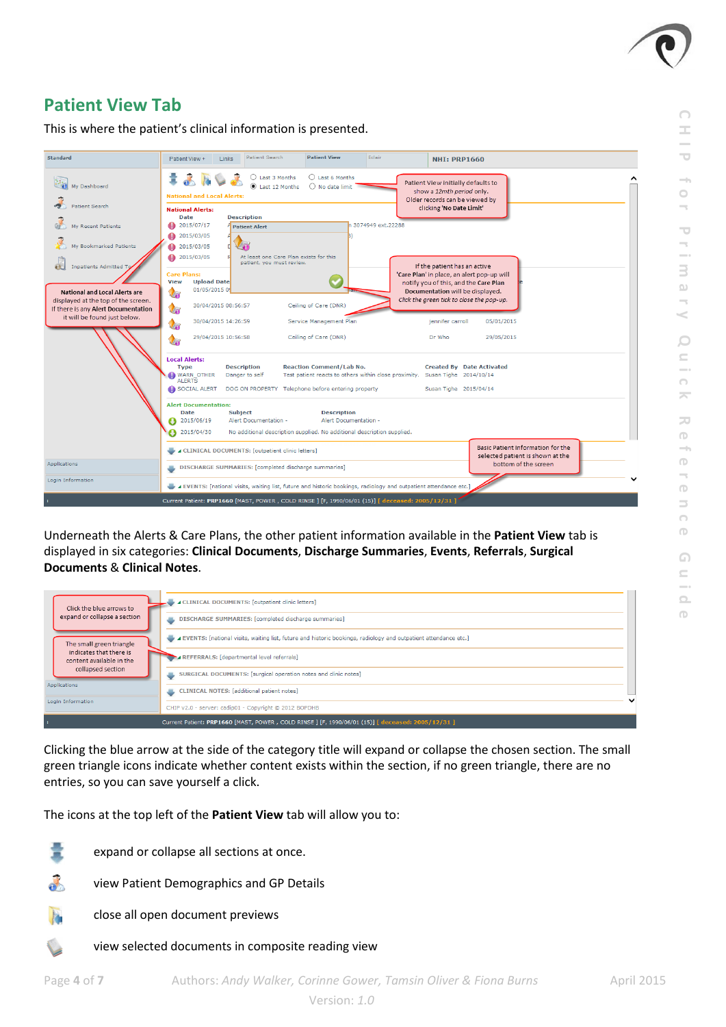

**CHIP for Primary**

 $\overline{C}$ 

i,

3

 $\supset$ 

5

 $\Box$  $\subseteq$ 

 $\bigcap$ 

 $\overline{\phantom{a}}$ 

 $\overline{\phantom{a}}$ 

 $\bigcirc$ 

۰

 $\circ$ 

**Quick Reference Guide**

 $\bigcirc$ 

 $\equiv$  $\bigcap$  $\bigcap$ 

 $\Omega$  $\subseteq$ 

 $\boxed{ }$  $\Box$ 

4

 $\bigcirc$ 

## **Patient View Tab**

This is where the patient's clinical information is presented.



Underneath the Alerts & Care Plans, the other patient information available in the **Patient View** tab is displayed in six categories: **Clinical Documents**, **Discharge Summaries**, **Events**, **Referrals**, **Surgical Documents** & **Clinical Notes**.

| Click the blue arrows to                                                 | <b>A CLINICAL DOCUMENTS:</b> [outpatient clinic letters]                                                        |  |
|--------------------------------------------------------------------------|-----------------------------------------------------------------------------------------------------------------|--|
| expand or collapse a section                                             | DISCHARGE SUMMARIES: [completed discharge summaries]                                                            |  |
| The small green triangle                                                 | EVENTS: [national visits, waiting list, future and historic bookings, radiology and outpatient attendance etc.] |  |
| indicates that there is<br>content available in the<br>collapsed section | REFERRALS: [departmental level referrals]                                                                       |  |
|                                                                          | SURGICAL DOCUMENTS: [surgical operation notes and clinic notes]                                                 |  |
| Applications                                                             | <b>CLINICAL NOTES:</b> [additional patient notes]<br>品                                                          |  |
| Login Information                                                        | CHIP v2.0 - server: cadip01 - Copyright © 2012 BOPDHB                                                           |  |
|                                                                          | Current Patient: PRP1660 [MAST, POWER, COLD RINSE] [F, 1990/06/01 (15)] [ deceased: 2005/12/31 ]                |  |

Clicking the blue arrow at the side of the category title will expand or collapse the chosen section. The small green triangle icons indicate whether content exists within the section, if no green triangle, there are no entries, so you can save yourself a click.

The icons at the top left of the **Patient View** tab will allow you to:

- expand or collapse all sections at once.
- view Patient Demographics and GP Details a.
- B. close all open document previews
	- view selected documents in composite reading view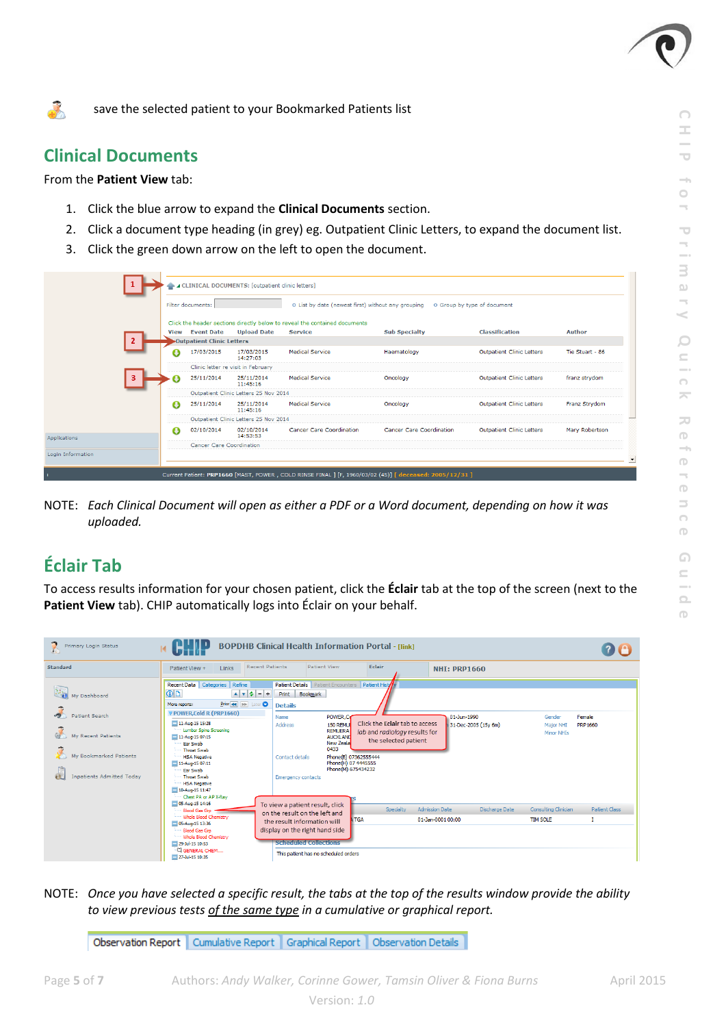

**CHIP for Primary**

 $\overline{\phantom{a}}$  $\overline{\phantom{a}}$ 

3  $\Omega$ k

 $\circ$  $\subseteq$ 

 $\bigcap$  $\overline{\phantom{a}}$ 

 $\overline{\sim}$  $\bigcirc$ 

 $\overline{\phantom{a}}$  $\circ$ 

**Quick Reference Guide**

 $\Omega$  $\subseteq$ 

 $\boxed{\phantom{1}}$  $\Box$ 

 $\bigcirc$ 4  $\bigcirc$  $\Rightarrow$  $\bigcap$  $\bigcap$ 

save the selected patient to your Bookmarked Patients list

### **Clinical Documents**

 $\mathcal{L}_{\mathcal{A}}$ 

#### From the **Patient View** tab:

- 1. Click the blue arrow to expand the **Clinical Documents** section.
- 2. Click a document type heading (in grey) eg. Outpatient Clinic Letters, to expand the document list.
- 3. Click the green down arrow on the left to open the document.

|              |      | Filter documents:                     |                                       | O List by date (newest first) without any grouping                         |                                 | O Group by type of document      |                 |  |  |  |  |
|--------------|------|---------------------------------------|---------------------------------------|----------------------------------------------------------------------------|---------------------------------|----------------------------------|-----------------|--|--|--|--|
|              |      |                                       |                                       | Click the header sections directly below to reveal the contained documents |                                 |                                  |                 |  |  |  |  |
|              | View | <b>Event Date</b>                     | <b>Upload Date</b>                    | <b>Service</b>                                                             | <b>Sub Specialty</b>            | <b>Classification</b>            | <b>Author</b>   |  |  |  |  |
|              |      | Outpatient Clinic Letters             |                                       |                                                                            |                                 |                                  |                 |  |  |  |  |
|              |      | 17/03/2015                            | 17/03/2015<br>14:27:03                | <b>Medical Service</b>                                                     | Haematology                     | <b>Outpatient Clinic Letters</b> | Tie Stuart - 86 |  |  |  |  |
|              |      |                                       | Clinic letter re visit in February    |                                                                            |                                 |                                  |                 |  |  |  |  |
| ٩            |      | 25/11/2014                            | 25/11/2014<br>11:45:16                | <b>Medical Service</b>                                                     | Oncology                        | <b>Outpatient Clinic Letters</b> | franz strydom   |  |  |  |  |
|              |      | Outpatient Clinic Letters 25 Nov 2014 |                                       |                                                                            |                                 |                                  |                 |  |  |  |  |
|              | О    | 25/11/2014                            | 25/11/2014<br>11:45:16                | <b>Medical Service</b>                                                     | Oncology                        | <b>Outpatient Clinic Letters</b> | Franz Strydom   |  |  |  |  |
|              |      |                                       | Outpatient Clinic Letters 25 Nov 2014 |                                                                            |                                 |                                  |                 |  |  |  |  |
| Applications | o    | 02/10/2014                            | 02/10/2014<br>14:53:53                | Cancer Care Coordination                                                   | <b>Cancer Care Coordination</b> | <b>Outpatient Clinic Letters</b> | Mary Robertson  |  |  |  |  |
|              |      | Cancer Care Coordination              |                                       |                                                                            |                                 |                                  |                 |  |  |  |  |

NOTE: *Each Clinical Document will open as either a PDF or a Word document, depending on how it was uploaded.*

## **Éclair Tab**

To access results information for your chosen patient, click the **Éclair** tab at the top of the screen (next to the **Patient View** tab). CHIP automatically logs into Éclair on your behalf.

| Primary Login Status                                                                                                      |                                                                                                                                                                                                                                                                                                                                                                                                                 |                                                                                                                                                                                                                                                                                               |                                                                                                                                                              |                                                              |                                         |                      |
|---------------------------------------------------------------------------------------------------------------------------|-----------------------------------------------------------------------------------------------------------------------------------------------------------------------------------------------------------------------------------------------------------------------------------------------------------------------------------------------------------------------------------------------------------------|-----------------------------------------------------------------------------------------------------------------------------------------------------------------------------------------------------------------------------------------------------------------------------------------------|--------------------------------------------------------------------------------------------------------------------------------------------------------------|--------------------------------------------------------------|-----------------------------------------|----------------------|
| <b>Standard</b>                                                                                                           | <b>Recent Patients</b><br>Patient View +<br>Links                                                                                                                                                                                                                                                                                                                                                               | <b>Patient View</b>                                                                                                                                                                                                                                                                           | Eclair                                                                                                                                                       | <b>NHI: PRP1660</b>                                          |                                         |                      |
| My Dashboard<br><b>Patient Search</b><br>My Recent Patients<br>My Bookmarked Patients<br><b>Inpatients Admitted Today</b> | Refine<br>Recent Data Categories<br><b>OD</b><br>$4 \times 2 - +$<br>Prior <<   M Later<br>More reports:<br>V POWER, Cold R (PRP1660)<br>11-Aug-15 15:28<br>Lumbar Spine Screening<br>11-Aug-15 07:15<br>Ear Swab<br><b>Throat Swab</b><br><b>HSA Negative</b><br>11-Aug-15 07:11<br><b>Far Swab</b><br><b>Throat Swab</b><br><b>HSA Negative</b><br>10-Aug-15 11:47<br>Chest PA or AP X-Ray<br>05-Aug-15 14:16 | Patient Details   Patient Encounters   Patient Histyly<br>Bookmark<br>Print<br><b>Details</b><br>POWER, Co<br>Name<br>150 REMU<br>Address<br><b>REMUERA</b><br><b>AUCKLAND</b><br>New Zeala<br>0433<br><b>Contact details</b><br><b>Emergency contacts</b><br>To view a patient result, click | Click the Eclair tab to access<br>lab and radiology results for<br>the selected patient<br>Phone(B) 07362555444<br>Phone(H) 07 4445555<br>Phone(M) 675434232 | 01-Jun-1990<br>31-Dec-2005 (15v 6m)                          | Gender<br>Major NHI<br>Minor NHIs       | Female<br>PRP 1660   |
|                                                                                                                           | Blood Gas Gro<br>Whole Blood Chemistry                                                                                                                                                                                                                                                                                                                                                                          | on the result on the left and<br>the result information will                                                                                                                                                                                                                                  | Specialty<br><b>TGA</b>                                                                                                                                      | <b>Admission Date</b><br>Discharge Date<br>01-Jan-0001 00:00 | Consulting Clinician<br><b>TIM SOLE</b> | <b>Patient Class</b> |
|                                                                                                                           | 05-Aug-15 13:36<br><b>Blood Gas Gro</b><br>Whole Blood Chemistry<br>29-Jul-15 10:53<br>CI GENERAL CHEM<br>27-3ul-15 10:35                                                                                                                                                                                                                                                                                       | display on the right hand side<br><b>Scheduled Collections</b><br>This patient has no scheduled orders                                                                                                                                                                                        |                                                                                                                                                              |                                                              |                                         |                      |

NOTE: *Once you have selected a specific result, the tabs at the top of the results window provide the ability to view previous tests of the same type in a cumulative or graphical report.*

Observation Report | Cumulative Report | Graphical Report | Observation Details |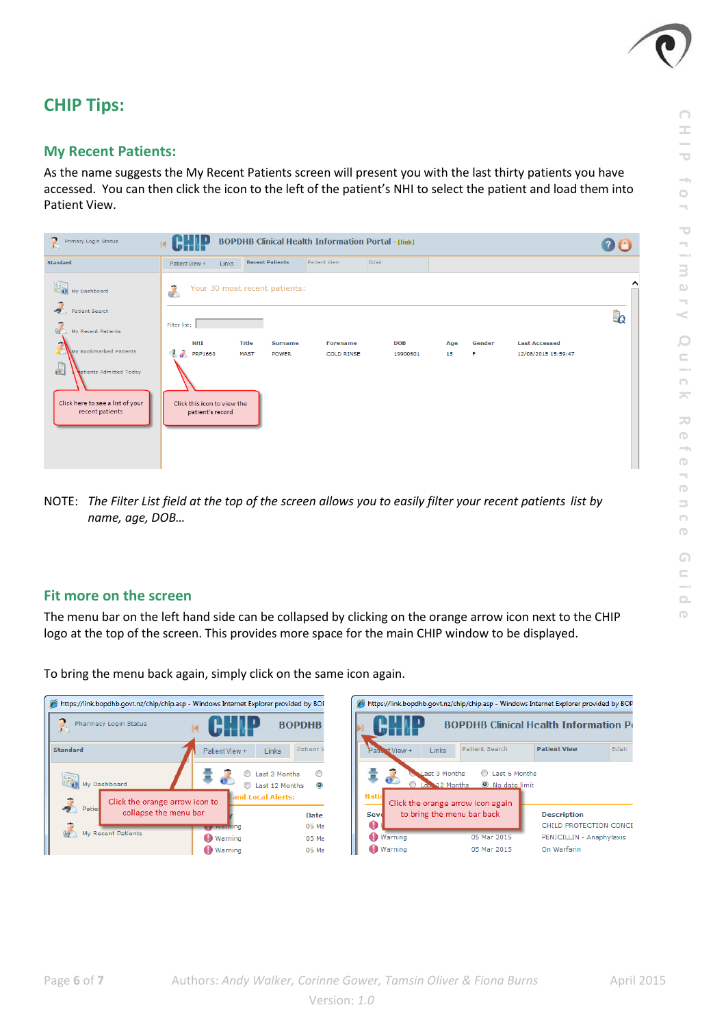

## **CHIP Tips:**

### **My Recent Patients:**

As the name suggests the My Recent Patients screen will present you with the last thirty patients you have accessed. You can then click the icon to the left of the patient's NHI to select the patient and load them into Patient View.



NOTE: The Filter List field at the top of the screen allows you to easily filter your recent patients list by *name, age, DOB…*

### **Fit more on the screen**

The menu bar on the left hand side can be collapsed by clicking on the orange arrow icon next to the CHIP logo at the top of the screen. This provides more space for the main CHIP window to be displayed.

https://link.bopdhb.govt.nz/chip/chip.asp - Windows Internet Explorer provided by BOF J, **BOPDHB** Pharmacy Login Status 14 Standard Links -Patient Patient View Last 3 Months  $^{\circ}$ ŝ a. **NSK**<br>My Dashboard Last 12 Months  $\odot$ nd Local Alerts: Click the orange arrow icon to پ collapse the menu bar Date 05 Ma ci nt Patients **Warning**  $05 \text{ Ma}$ **O** Warning 05 Ma

To bring the menu back again, simply click on the same icon again.